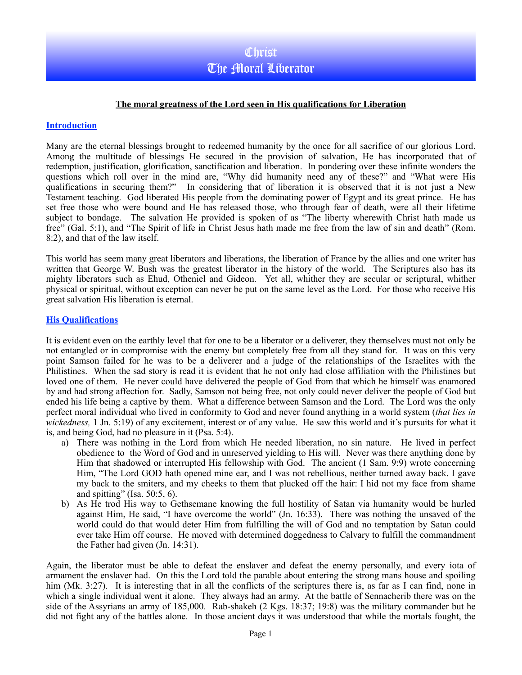### **The moral greatness of the Lord seen in His qualifications for Liberation**

#### **Introduction**

Many are the eternal blessings brought to redeemed humanity by the once for all sacrifice of our glorious Lord. Among the multitude of blessings He secured in the provision of salvation, He has incorporated that of redemption, justification, glorification, sanctification and liberation. In pondering over these infinite wonders the questions which roll over in the mind are, "Why did humanity need any of these?" and "What were His qualifications in securing them?" In considering that of liberation it is observed that it is not just a New Testament teaching. God liberated His people from the dominating power of Egypt and its great prince. He has set free those who were bound and He has released those, who through fear of death, were all their lifetime subject to bondage. The salvation He provided is spoken of as "The liberty wherewith Christ hath made us free" (Gal. 5:1), and "The Spirit of life in Christ Jesus hath made me free from the law of sin and death" (Rom. 8:2), and that of the law itself.

This world has seem many great liberators and liberations, the liberation of France by the allies and one writer has written that George W. Bush was the greatest liberator in the history of the world. The Scriptures also has its mighty liberators such as Ehud, Otheniel and Gideon. Yet all, whither they are secular or scriptural, whither physical or spiritual, without exception can never be put on the same level as the Lord. For those who receive His great salvation His liberation is eternal.

#### **His Qualifications**

It is evident even on the earthly level that for one to be a liberator or a deliverer, they themselves must not only be not entangled or in compromise with the enemy but completely free from all they stand for. It was on this very point Samson failed for he was to be a deliverer and a judge of the relationships of the Israelites with the Philistines. When the sad story is read it is evident that he not only had close affiliation with the Philistines but loved one of them. He never could have delivered the people of God from that which he himself was enamored by and had strong affection for. Sadly, Samson not being free, not only could never deliver the people of God but ended his life being a captive by them. What a difference between Samson and the Lord. The Lord was the only perfect moral individual who lived in conformity to God and never found anything in a world system (*that lies in wickedness,* 1 Jn. 5:19) of any excitement, interest or of any value. He saw this world and it's pursuits for what it is, and being God, had no pleasure in it (Psa. 5:4).

- a) There was nothing in the Lord from which He needed liberation, no sin nature. He lived in perfect obedience to the Word of God and in unreserved yielding to His will. Never was there anything done by Him that shadowed or interrupted His fellowship with God. The ancient (1 Sam. 9:9) wrote concerning Him, "The Lord GOD hath opened mine ear, and I was not rebellious, neither turned away back. I gave my back to the smiters, and my cheeks to them that plucked off the hair: I hid not my face from shame and spitting" (Isa. 50:5, 6).
- b) As He trod His way to Gethsemane knowing the full hostility of Satan via humanity would be hurled against Him, He said, "I have overcome the world" (Jn. 16:33). There was nothing the unsaved of the world could do that would deter Him from fulfilling the will of God and no temptation by Satan could ever take Him off course. He moved with determined doggedness to Calvary to fulfill the commandment the Father had given (Jn. 14:31).

Again, the liberator must be able to defeat the enslaver and defeat the enemy personally, and every iota of armament the enslaver had. On this the Lord told the parable about entering the strong mans house and spoiling him (Mk. 3:27). It is interesting that in all the conflicts of the scriptures there is, as far as I can find, none in which a single individual went it alone. They always had an army. At the battle of Sennacherib there was on the side of the Assyrians an army of 185,000. Rab-shakeh (2 Kgs. 18:37; 19:8) was the military commander but he did not fight any of the battles alone. In those ancient days it was understood that while the mortals fought, the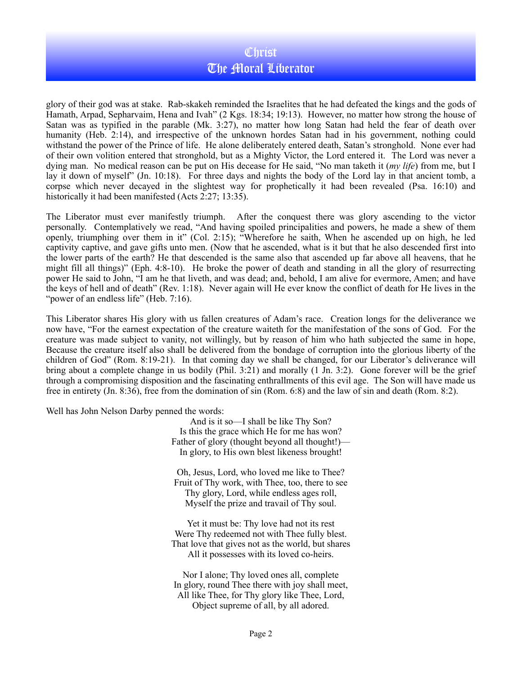# **Christ** The Moral Liberator

glory of their god was at stake. Rab-skakeh reminded the Israelites that he had defeated the kings and the gods of Hamath, Arpad, Sepharvaim, Hena and Ivah" (2 Kgs. 18:34; 19:13). However, no matter how strong the house of Satan was as typified in the parable (Mk. 3:27), no matter how long Satan had held the fear of death over humanity (Heb. 2:14), and irrespective of the unknown hordes Satan had in his government, nothing could withstand the power of the Prince of life. He alone deliberately entered death, Satan's stronghold. None ever had of their own volition entered that stronghold, but as a Mighty Victor, the Lord entered it. The Lord was never a dying man. No medical reason can be put on His decease for He said, "No man taketh it (*my life*) from me, but I lay it down of myself" (Jn. 10:18). For three days and nights the body of the Lord lay in that ancient tomb, a corpse which never decayed in the slightest way for prophetically it had been revealed (Psa. 16:10) and historically it had been manifested (Acts 2:27; 13:35).

The Liberator must ever manifestly triumph. After the conquest there was glory ascending to the victor personally. Contemplatively we read, "And having spoiled principalities and powers, he made a shew of them openly, triumphing over them in it" (Col. 2:15); "Wherefore he saith, When he ascended up on high, he led captivity captive, and gave gifts unto men. (Now that he ascended, what is it but that he also descended first into the lower parts of the earth? He that descended is the same also that ascended up far above all heavens, that he might fill all things)" (Eph. 4:8-10). He broke the power of death and standing in all the glory of resurrecting power He said to John, "I am he that liveth, and was dead; and, behold, I am alive for evermore, Amen; and have the keys of hell and of death" (Rev. 1:18). Never again will He ever know the conflict of death for He lives in the "power of an endless life" (Heb. 7:16).

This Liberator shares His glory with us fallen creatures of Adam's race. Creation longs for the deliverance we now have, "For the earnest expectation of the creature waiteth for the manifestation of the sons of God. For the creature was made subject to vanity, not willingly, but by reason of him who hath subjected the same in hope, Because the creature itself also shall be delivered from the bondage of corruption into the glorious liberty of the children of God" (Rom. 8:19-21). In that coming day we shall be changed, for our Liberator's deliverance will bring about a complete change in us bodily (Phil. 3:21) and morally (1 Jn. 3:2). Gone forever will be the grief through a compromising disposition and the fascinating enthrallments of this evil age. The Son will have made us free in entirety (Jn. 8:36), free from the domination of sin (Rom. 6:8) and the law of sin and death (Rom. 8:2).

Well has John Nelson Darby penned the words:

And is it so—I shall be like Thy Son? Is this the grace which He for me has won? Father of glory (thought beyond all thought!)— In glory, to His own blest likeness brought!

Oh, Jesus, Lord, who loved me like to Thee? Fruit of Thy work, with Thee, too, there to see Thy glory, Lord, while endless ages roll, Myself the prize and travail of Thy soul.

Yet it must be: Thy love had not its rest Were Thy redeemed not with Thee fully blest. That love that gives not as the world, but shares All it possesses with its loved co-heirs.

Nor I alone; Thy loved ones all, complete In glory, round Thee there with joy shall meet, All like Thee, for Thy glory like Thee, Lord, Object supreme of all, by all adored.